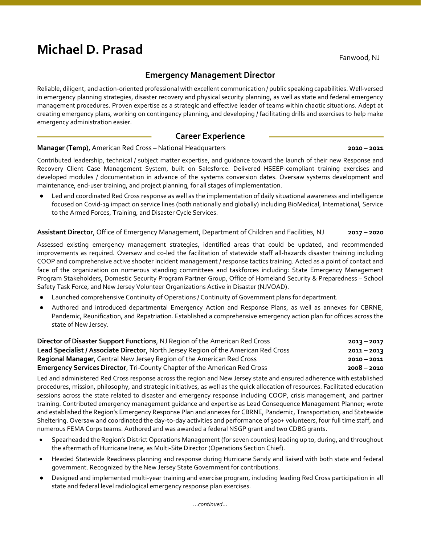# Michael D. Prasad

Fanwood, NJ

# Emergency Management Director

Reliable, diligent, and action-oriented professional with excellent communication / public speaking capabilities. Well-versed in emergency planning strategies, disaster recovery and physical security planning, as well as state and federal emergency management procedures. Proven expertise as a strategic and effective leader of teams within chaotic situations. Adept at creating emergency plans, working on contingency planning, and developing / facilitating drills and exercises to help make emergency administration easier.

# Career Experience

## Manager (Temp), American Red Cross – National Headquarters 2020 – 2021 2020 – 2021

Contributed leadership, technical / subject matter expertise, and guidance toward the launch of their new Response and Recovery Client Case Management System, built on Salesforce. Delivered HSEEP-compliant training exercises and developed modules / documentation in advance of the systems conversion dates. Oversaw systems development and maintenance, end-user training, and project planning, for all stages of implementation.

Led and coordinated Red Cross response as well as the implementation of daily situational awareness and intelligence focused on Covid-19 impact on service lines (both nationally and globally) including BioMedical, International, Service to the Armed Forces, Training, and Disaster Cycle Services.

## Assistant Director, Office of Emergency Management, Department of Children and Facilities, NJ 2017 – 2020

Assessed existing emergency management strategies, identified areas that could be updated, and recommended improvements as required. Oversaw and co-led the facilitation of statewide staff all-hazards disaster training including COOP and comprehensive active shooter incident management / response tactics training. Acted as a point of contact and face of the organization on numerous standing committees and taskforces including: State Emergency Management Program Stakeholders, Domestic Security Program Partner Group, Office of Homeland Security & Preparedness – School Safety Task Force, and New Jersey Volunteer Organizations Active in Disaster (NJVOAD).

- Launched comprehensive Continuity of Operations / Continuity of Government plans for department.
- Authored and introduced departmental Emergency Action and Response Plans, as well as annexes for CBRNE, Pandemic, Reunification, and Repatriation. Established a comprehensive emergency action plan for offices across the state of New Jersey.

| Director of Disaster Support Functions, NJ Region of the American Red Cross         | $2013 - 2017$ |
|-------------------------------------------------------------------------------------|---------------|
| Lead Specialist / Associate Director, North Jersey Region of the American Red Cross | $2011 - 2013$ |
| <b>Regional Manager, Central New Jersey Region of the American Red Cross</b>        | $2010 - 2011$ |
| <b>Emergency Services Director, Tri-County Chapter of the American Red Cross</b>    | $2008 - 2010$ |

Led and administered Red Cross response across the region and New Jersey state and ensured adherence with established procedures, mission, philosophy, and strategic initiatives, as well as the quick allocation of resources. Facilitated education sessions across the state related to disaster and emergency response including COOP, crisis management, and partner training. Contributed emergency management guidance and expertise as Lead Consequence Management Planner; wrote and established the Region's Emergency Response Plan and annexes for CBRNE, Pandemic, Transportation, and Statewide Sheltering. Oversaw and coordinated the day-to-day activities and performance of 300+ volunteers, four full time staff, and numerous FEMA Corps teams. Authored and was awarded a federal NSGP grant and two CDBG grants.

- Spearheaded the Region's District Operations Management (for seven counties) leading up to, during, and throughout the aftermath of Hurricane Irene, as Multi-Site Director (Operations Section Chief).
- Headed Statewide Readiness planning and response during Hurricane Sandy and liaised with both state and federal government. Recognized by the New Jersey State Government for contributions.
- Designed and implemented multi-year training and exercise program, including leading Red Cross participation in all state and federal level radiological emergency response plan exercises.